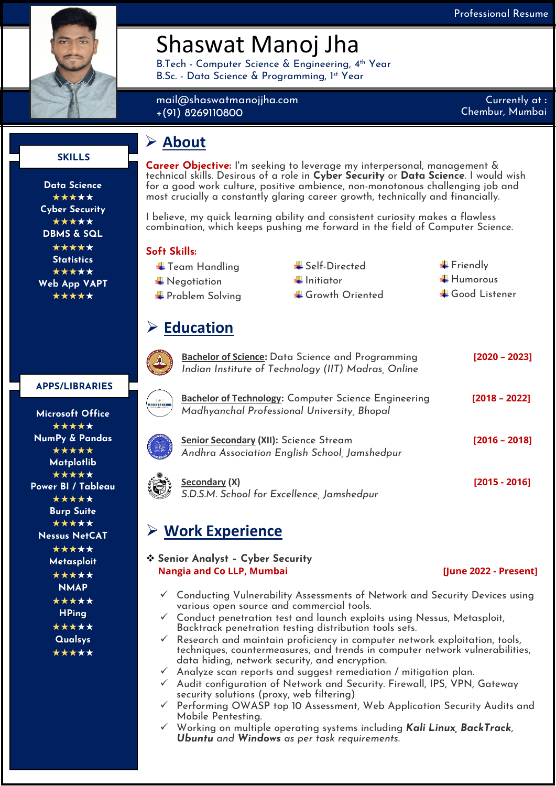

## Shaswat Manoj Jha

B.Tech - Computer Science & Engineering, 4<sup>th</sup> Year B.Sc. - Data Science & Programming, 1 st Year

mail@shaswatmanojjha.com +(91) 8269110800

Currently at **:** Chembur, Mumbai

#### **SKILLS**

**Data Science** \*\*\*\*\* **Cyber Security** \*\*\*\*\* **DBMS & SQL** \*\*\*\*\* **Statistics** \*\*\*\*\* **Web App VAPT** \*\*\*\*\*

**Bachelor of Science:** Data Science and Programming **[2020 – 2023]** *Indian Institute of Technology (IIT) Madras, Online*

| <b>Microsoft Office</b>   |  |
|---------------------------|--|
| *****                     |  |
| <b>NumPy &amp; Pandas</b> |  |
| *****                     |  |

**Matplotlib** \*\*\*\*\* **Power BI / Tableau** \*\*\*\*\* **Burp Suite** \*\*\*\*\* **Nessus NetCAT** \*\*\*\*\* **Metasploit** \*\*\*\*\* **NMAP** \*\*\*\*\* **HPing** \*\*\*\*\* **Qualsys** \*\*\*\*\*

**Microsoft Office** \*\*\*\*\*

**APPS/LIBRARIES**

\*\*\*\*\*



|  |            | <b>WINCH</b> |  |
|--|------------|--------------|--|
|  |            |              |  |
|  |            |              |  |
|  | <b>NSH</b> |              |  |
|  |            |              |  |

| Secondary (X)                              |
|--------------------------------------------|
| S.D.S.M. School for Excellence, Jamshedpur |

### ➢ **Work Experience**

❖ **Senior Analyst – Cyber Security Nangia and Co LLP, Mumbai**  *Company* **(***June 2022 - Present***)</u>** 

**Secondary (X) [2015 - 2016]**

- ✓ Conducting Vulnerability Assessments of Network and Security Devices using various open source and commercial tools.
- ✓ Conduct penetration test and launch exploits using Nessus, Metasploit, Backtrack penetration testing distribution tools sets.
- Research and maintain proficiency in computer network exploitation, tools, techniques, countermeasures, and trends in computer network vulnerabilities, data hiding, network security, and encryption.
- Analyze scan reports and suggest remediation / mitigation plan.
- ✓ Audit configuration of Network and Security. Firewall, IPS, VPN, Gateway security solutions (proxy, web filtering)
- ✓ Performing OWASP top 10 Assessment, Web Application Security Audits and Mobile Pentesting.
- ✓ Working on multiple operating systems including *Kali Linux, BackTrack*, *Ubuntu and Windows as per task requirements*.

### ➢ **About**

**Career Objective:** I'm seeking to leverage my interpersonal, management & technical skills. Desirous of a role in **Cyber Security** or **Data Science**. I would wish for a good work culture, positive ambience, non-monotonous challenging job and most crucially a constantly glaring career growth, technically and financially.

I believe, my quick learning ability and consistent curiosity makes a flawless combination, which keeps pushing me forward in the field of Computer Science.

#### **Soft Skills:**

- 
- 
- 
- $\overline{\phantom{a}}$  Team Handling  $\overline{\phantom{a}}$  Self-Directed  $\overline{\phantom{a}}$  Friendly  $\overline{\phantom{a}^+}$  Negotiation  $\overline{\phantom{a}^+}$  Initiator  $\overline{\phantom{a}^+}$  Humorous  $\begin{array}{ccc}\n\textcolor{red}{\blacklozenge} & \textcolor{red}{\blacklozenge} & \textcolor{red}{\blacklozenge} & \textcolor{red}{\blacklozenge} & \textcolor{red}{\blacklozenge} & \textcolor{red}{\blacklozenge} & \textcolor{red}{\blacklozenge} & \textcolor{red}{\blacklozenge} & \textcolor{red}{\blacklozenge} & \textcolor{red}{\blacklozenge} & \textcolor{red}{\blacklozenge} & \textcolor{red}{\blacklozenge} & \textcolor{red}{\blacklozenge} & \textcolor{red}{\blacklozenge} & \textcolor{red}{\blacklozenge} & \textcolor{red}{\blacklozenge} & \textcolor{$

# ➢ **Education**



**Bachelor of Technology:** Computer Science Engineering **[2018 – 2022]** *Madhyanchal Professional University, Bhopal*

**Senior Secondary (XII):** Science Stream **[2016 – 2018]** *Andhra Association English School, Jamshedpur*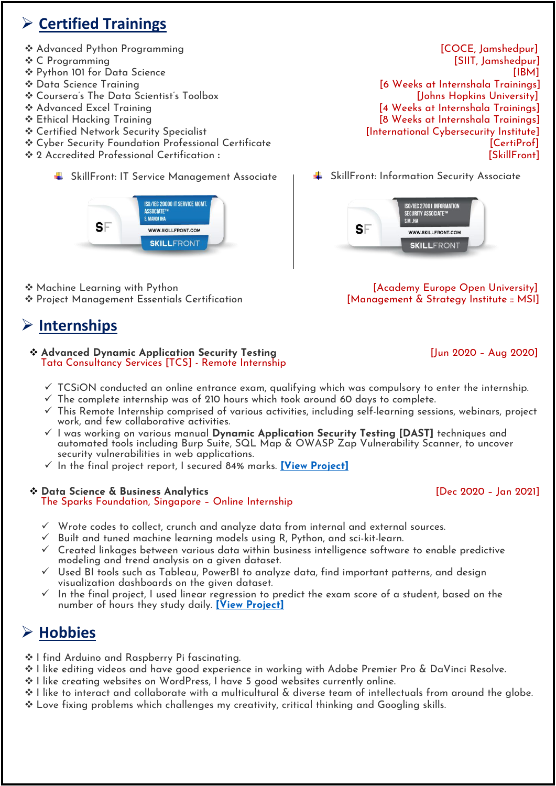### ➢ **Certified Trainings**

- 
- 
- 
- 
- ❖ Coursera's The Data Scientist's Toolbox [Johns Hopkins University]
- 
- 
- ◆ Certified Network Security Specialist research international Cybersecurity Institute]
- ❖ Cyber Security Foundation Professional Certificate for the control of the control of the formulation of the control of the control of the control of the control of the control of the control of the control of the contro
- ❖ 2 Accredited Professional Certification **:** [SkillFront]
	- **SkillFront: IT Service Management Associate**



◆ Machine Learning with Python compared to the control of the Machine Open University] ❖ Project Management Essentials Certification [Management & Strategy Institute :: MSI]

### ➢ **Internships**

#### ❖ **Advanced Dynamic Application Security Testing** [Jun 2020 – Aug 2020] Tata Consultancy Services [TCS] - Remote Internship

- $\checkmark$  TCSiON conducted an online entrance exam, qualifying which was compulsory to enter the internship.
- $\checkmark$  The complete internship was of 210 hours which took around 60 days to complete.
- $\checkmark$  This Remote Internship comprised of various activities, including self-learning sessions, webinars, project work, and few collaborative activities.
- ✓ I was working on various manual **Dynamic Application Security Testing [DAST]** techniques and automated tools including Burp Suite, SQL Map & OWASP Zap Vulnerability Scanner, to uncover security vulnerabilities in web applications.
- ✓ In the final project report, I secured 84% marks. **[\[View Project\]](https://shaswatmanojjha.com/tcs-internship-advanced-dynamic-application-security-testing-to-find-defects-in-web-applications/)**

#### ❖ **Data Science & Business Analytics** [Dec 2020 – Jan 2021] The Sparks Foundation, Singapore – Online Internship

- $\checkmark$  Wrote codes to collect, crunch and analyze data from internal and external sources.
- Built and tuned machine learning models using R, Python, and sci-kit-learn.
- $\checkmark$  Created linkages between various data within business intelligence software to enable predictive modeling and trend analysis on a given dataset.
- Used BI tools such as Tableau, PowerBI to analyze data, find important patterns, and design visualization dashboards on the given dataset.
- In the final project, I used linear regression to predict the exam score of a student, based on the number of hours they study daily. **[\[View Project\]](https://shaswatmanojjha.com/data-science-and-business-analytics-internship-task-1-the-sparks-foundation/)**

### ➢ **Hobbies**

- ❖ I find Arduino and Raspberry Pi fascinating.
- ❖ I like editing videos and have good experience in working with Adobe Premier Pro & DaVinci Resolve.
- ❖ I like creating websites on WordPress, I have 5 good websites currently online.
- ❖ I like to interact and collaborate with a multicultural & diverse team of intellectuals from around the globe.
- ❖ Love fixing problems which challenges my creativity, critical thinking and Googling skills.

❖ Advanced Python Programming [COCE, Jamshedpur] ◆ C Programming [SIIT, Jamshedpur] ❖ Python 101 for Data Science [IBM] ❖ Data Science Training [6 Weeks at Internshala Trainings] ❖ Advanced Excel Training [4 Weeks at Internshala Trainings] ❖ Ethical Hacking Training [8 Weeks at Internshala Trainings]

SkillFront: Information Security Associate

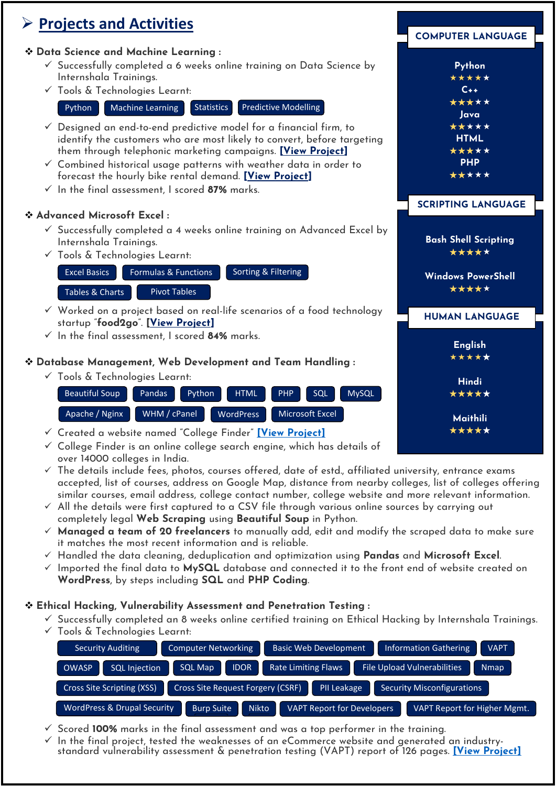### ➢ **Projects and Activities**

#### ❖ **Data Science and Machine Learning :**

- $\checkmark$  Successfully completed a 6 weeks online training on Dat Internshala Trainings.
- ✓ Tools & Technologies Learnt:

Python Machine Learning Statistics Predictive Modellin

- $\checkmark$  Designed an end-to-end predictive model for a financial identify the customers who are most likely to convert, be them through telephonic marketing campaigns. **[View P**
- $\checkmark$  Combined historical usage patterns with weather data in forecast the hourly bike rental demand. **[View Project]**
- ✓ In the final assessment, I scored **87%** marks.

#### ❖ **Advanced Microsoft Excel :**

- $\checkmark$  Successfully completed a 4 weeks online training on Adv Internshala Trainings.
- ✓ Tools & Technologies Learnt:



- $\checkmark$  Worked on a project based on real-life scenarios of a fo startup "**food2go**". **[View Project]**
- ✓ In the final assessment, I scored **84%** marks.

#### ❖ **Database Management, Web Development and Team Handling :**

✓ Tools & Technologies Learnt:

| Beautiful Soup | <b>Pandas</b> | Python | <b>HTML</b>      | PHP | SQL             | <b>MySQL</b> |
|----------------|---------------|--------|------------------|-----|-----------------|--------------|
| Apache / Nginx | WHM / cPanel  |        | <b>WordPress</b> |     | Microsoft Excel |              |

- ✓ Created a website named "College Finder" **[\[View Project\]](https://collegefinderindia.com/)**
- $\checkmark$  College Finder is an online college search engine, which has details of over 14000 colleges in India.
- ✓ The details include fees, photos, courses offered, date of estd., affiliated university, entrance exams accepted, list of courses, address on Google Map, distance from nearby colleges, list of colleges offering similar courses, email address, college contact number, college website and more relevant information.
- $\checkmark$  All the details were first captured to a CSV file through various online sources by carrying out completely legal **Web Scraping** using **Beautiful Soup** in Python.
- ✓ **Managed a team of 20 freelancers** to manually add, edit and modify the scraped data to make sure it matches the most recent information and is reliable.
- ✓ Handled the data cleaning, deduplication and optimization using **Pandas** and **Microsoft Excel**.
- ✓ Imported the final data to **MySQL** database and connected it to the front end of website created on **WordPress**, by steps including **SQL** and **PHP Coding**.

#### ❖ **Ethical Hacking, Vulnerability Assessment and Penetration Testing :**

- $\checkmark$  Successfully completed an 8 weeks online certified training on Ethical Hacking by Internshala Trainings.
- ✓ Tools & Technologies Learnt:

| Security Auditing                      | <b>Computer Networking</b>               | <b>Basic Web Development</b>      | <b>VAPT</b><br>Information Gathering              |
|----------------------------------------|------------------------------------------|-----------------------------------|---------------------------------------------------|
| OWASP<br><b>SQL Injection</b>          | <b>IDOR</b><br><b>SQL Map</b>            | <b>Rate Limiting Flaws</b>        | <b>File Upload Vulnerabilities</b><br><b>Nmap</b> |
| <b>Cross Site Scripting (XSS)</b>      | <b>Cross Site Request Forgery (CSRF)</b> | PII Leakage                       | Security Misconfigurations                        |
| <b>WordPress &amp; Drupal Security</b> | <b>Nikto</b><br><b>Burp Suite</b>        | <b>VAPT Report for Developers</b> | VAPT Report for Higher Mgmt.                      |

- $\checkmark$  Scored **100%** marks in the final assessment and was a top performer in the training.
- $\checkmark$  In the final project, tested the weaknesses of an eCommerce website and generated an industrystandard vulnerability assessment & penetration testing (VAPT) report of 126 pages. **[\[View Project\]](https://shaswatmanojjha.com/8-weeks-ethical-hacking-training-internshala-trainings/)**

|                                                                              | <b>COMPUTER LANGUAGE</b>                                                                          |
|------------------------------------------------------------------------------|---------------------------------------------------------------------------------------------------|
| ta Science by<br>g<br>l firm, to<br>fore targeting!<br>roject]<br>n order to | Python<br>*****<br>$C++$<br>*****<br>Java<br>*****<br><b>HTML</b><br>*****<br><b>PHP</b><br>***** |
| vanced Excel by                                                              | <b>SCRIPTING LANGUAGE</b><br><b>Bash Shell Scripting</b><br>*****                                 |
| ood technology                                                               | <b>Windows PowerShell</b><br>*****<br><b>HUMAN LANGUAGE</b>                                       |
| $and$ ling $:$<br>sQL<br><b>MySQL</b>                                        | <b>English</b><br>*****<br>Hindi<br>*****                                                         |
| Excel<br><u>:t]</u>                                                          | <b>Maithili</b><br>*****                                                                          |